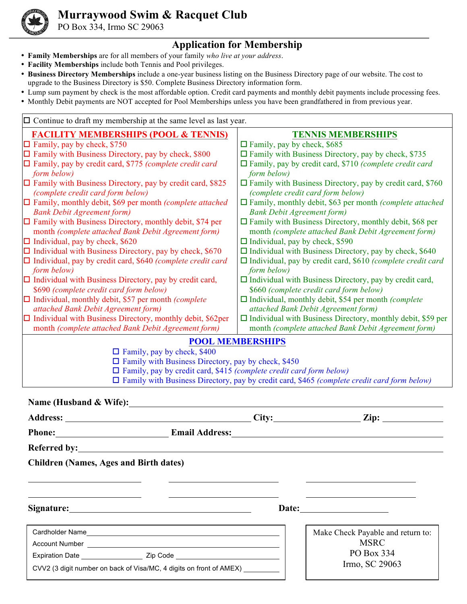

## **Murraywood Swim & Racquet Club**

PO Box 334, Irmo SC 29063

## **Application for Membership**

- **Family Memberships** are for all members of your family *who live at your address*.
- **Facility Memberships** include both Tennis and Pool privileges.
- **Business Directory Memberships** include a one-year business listing on the Business Directory page of our website. The cost to upgrade to the Business Directory is \$50. Complete Business Directory information form.
- Lump sum payment by check is the most affordable option. Credit card payments and monthly debit payments include processing fees.
- Monthly Debit payments are NOT accepted for Pool Memberships unless you have been grandfathered in from previous year.

| $\Box$ Continue to draft my membership at the same level as last year.     |                                                                                                    |
|----------------------------------------------------------------------------|----------------------------------------------------------------------------------------------------|
| <b>FACILITY MEMBERSHIPS (POOL &amp; TENNIS)</b>                            | <b>TENNIS MEMBERSHIPS</b>                                                                          |
| $\Box$ Family, pay by check, \$750                                         | $\Box$ Family, pay by check, \$685                                                                 |
| $\Box$ Family with Business Directory, pay by check, \$800                 | $\Box$ Family with Business Directory, pay by check, \$735                                         |
| $\Box$ Family, pay by credit card, \$775 (complete credit card             | $\Box$ Family, pay by credit card, \$710 (complete credit card                                     |
| form below)                                                                | form below)                                                                                        |
| $\Box$ Family with Business Directory, pay by credit card, \$825           | $\Box$ Family with Business Directory, pay by credit card, \$760                                   |
| (complete credit card form below)                                          | (complete credit card form below)                                                                  |
| $\Box$ Family, monthly debit, \$69 per month (complete attached            | $\Box$ Family, monthly debit, \$63 per month (complete attached                                    |
| <b>Bank Debit Agreement form)</b>                                          | <b>Bank Debit Agreement form)</b>                                                                  |
| $\Box$ Family with Business Directory, monthly debit, \$74 per             | $\Box$ Family with Business Directory, monthly debit, \$68 per                                     |
| month (complete attached Bank Debit Agreement form)                        | month (complete attached Bank Debit Agreement form)                                                |
| $\Box$ Individual, pay by check, \$620                                     | $\Box$ Individual, pay by check, \$590                                                             |
| $\Box$ Individual with Business Directory, pay by check, \$670             | $\Box$ Individual with Business Directory, pay by check, \$640                                     |
| $\Box$ Individual, pay by credit card, \$640 (complete credit card         | $\Box$ Individual, pay by credit card, \$610 (complete credit card                                 |
| form below)                                                                | form below)                                                                                        |
| $\Box$ Individual with Business Directory, pay by credit card,             | $\Box$ Individual with Business Directory, pay by credit card,                                     |
| \$690 (complete credit card form below)                                    | \$660 (complete credit card form below)                                                            |
| $\Box$ Individual, monthly debit, \$57 per month (complete                 | $\Box$ Individual, monthly debit, \$54 per month (complete                                         |
| attached Bank Debit Agreement form)                                        | attached Bank Debit Agreement form)                                                                |
| $\Box$ Individual with Business Directory, monthly debit, \$62per          | $\Box$ Individual with Business Directory, monthly debit, \$59 per                                 |
| month (complete attached Bank Debit Agreement form)                        | month (complete attached Bank Debit Agreement form)                                                |
|                                                                            | <b>POOL MEMBERSHIPS</b>                                                                            |
| $\Box$ Family, pay by check, \$400                                         |                                                                                                    |
| $\Box$ Family with Business Directory, pay by check, \$450                 |                                                                                                    |
| $\Box$ Family, pay by credit card, \$415 (complete credit card form below) |                                                                                                    |
|                                                                            | $\Box$ Family with Business Directory, pay by credit card, \$465 (complete credit card form below) |
|                                                                            |                                                                                                    |
| Name (Husband & Wife):                                                     |                                                                                                    |
| <b>Address:</b>                                                            | City:<br>$\mathbf{Zip:}$                                                                           |
| <b>Email Address:</b><br><b>Phone:</b>                                     |                                                                                                    |

**Referred by:** 

**Children (Names, Ages and Birth dates)** 

**Signature: Date:** 

| Cardholder Name                                                     |          |
|---------------------------------------------------------------------|----------|
| <b>Account Number</b>                                               |          |
| <b>Expiration Date</b>                                              | Zip Code |
| CVV2 (3 digit number on back of Visa/MC, 4 digits on front of AMEX) |          |

<u> 1980 - Andrea Station Barbara, amerikan per</u>

Make Check Payable and return to: **MSRC** PO Box 334 Irmo, SC 29063

<u> 1980 - Johann Barn, mars eta bainar eta idazlea (</u>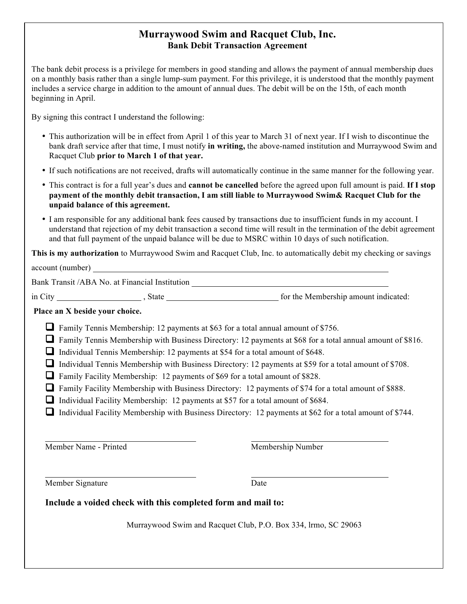## **Murraywood Swim and Racquet Club, Inc. Bank Debit Transaction Agreement**

The bank debit process is a privilege for members in good standing and allows the payment of annual membership dues on a monthly basis rather than a single lump-sum payment. For this privilege, it is understood that the monthly payment includes a service charge in addition to the amount of annual dues. The debit will be on the 15th, of each month beginning in April.

By signing this contract I understand the following:

- This authorization will be in effect from April 1 of this year to March 31 of next year. If I wish to discontinue the bank draft service after that time, I must notify **in writing,** the above-named institution and Murraywood Swim and Racquet Club **prior to March 1 of that year.**
- If such notifications are not received, drafts will automatically continue in the same manner for the following year.
- This contract is for a full year's dues and **cannot be cancelled** before the agreed upon full amount is paid. **If I stop payment of the monthly debit transaction, I am still liable to Murraywood Swim& Racquet Club for the unpaid balance of this agreement.**
- I am responsible for any additional bank fees caused by transactions due to insufficient funds in my account. I understand that rejection of my debit transaction a second time will result in the termination of the debit agreement and that full payment of the unpaid balance will be due to MSRC within 10 days of such notification.

**This is my authorization** to Murraywood Swim and Racquet Club, Inc. to automatically debit my checking or savings

account (number) Bank Transit /ABA No. at Financial Institution in City State State State for the Membership amount indicated: **Place an X beside your choice.**  $\Box$  Family Tennis Membership: 12 payments at \$63 for a total annual amount of \$756.  $\Box$  Family Tennis Membership with Business Directory: 12 payments at \$68 for a total annual amount of \$816.  $\Box$  Individual Tennis Membership: 12 payments at \$54 for a total amount of \$648. **Q** Individual Tennis Membership with Business Directory: 12 payments at \$59 for a total amount of \$708.  $\Box$  Family Facility Membership: 12 payments of \$69 for a total amount of \$828. **T** Family Facility Membership with Business Directory: 12 payments of \$74 for a total amount of \$888.  $\Box$  Individual Facility Membership: 12 payments at \$57 for a total amount of \$684.  $\Box$  Individual Facility Membership with Business Directory: 12 payments at \$62 for a total amount of \$744. Member Name - Printed Membership Number

Member Signature Date

## **Include a voided check with this completed form and mail to:**

Murraywood Swim and Racquet Club, P.O. Box 334, lrmo, SC 29063